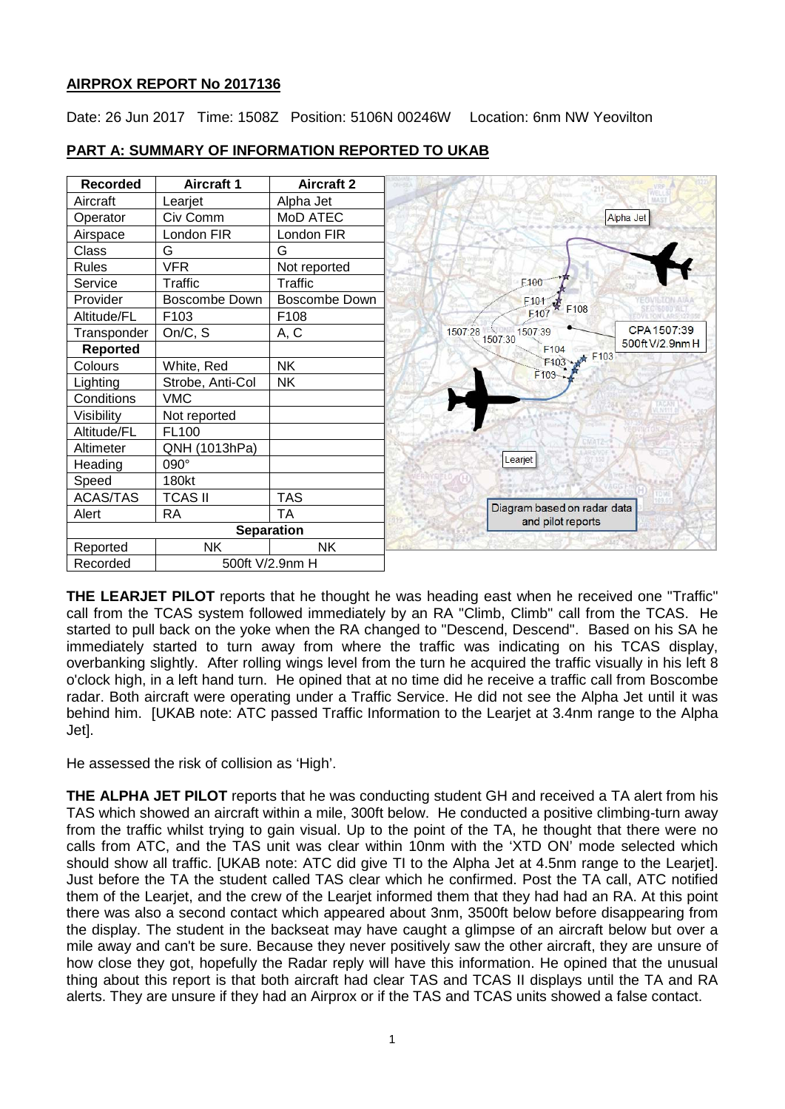# **AIRPROX REPORT No 2017136**

Date: 26 Jun 2017 Time: 1508Z Position: 5106N 00246W Location: 6nm NW Yeovilton



# **PART A: SUMMARY OF INFORMATION REPORTED TO UKAB**

**THE LEARJET PILOT** reports that he thought he was heading east when he received one "Traffic" call from the TCAS system followed immediately by an RA "Climb, Climb" call from the TCAS. He started to pull back on the yoke when the RA changed to "Descend, Descend". Based on his SA he immediately started to turn away from where the traffic was indicating on his TCAS display, overbanking slightly. After rolling wings level from the turn he acquired the traffic visually in his left 8 o'clock high, in a left hand turn. He opined that at no time did he receive a traffic call from Boscombe radar. Both aircraft were operating under a Traffic Service. He did not see the Alpha Jet until it was behind him. [UKAB note: ATC passed Traffic Information to the Learjet at 3.4nm range to the Alpha Jet].

He assessed the risk of collision as 'High'.

**THE ALPHA JET PILOT** reports that he was conducting student GH and received a TA alert from his TAS which showed an aircraft within a mile, 300ft below. He conducted a positive climbing-turn away from the traffic whilst trying to gain visual. Up to the point of the TA, he thought that there were no calls from ATC, and the TAS unit was clear within 10nm with the 'XTD ON' mode selected which should show all traffic. [UKAB note: ATC did give TI to the Alpha Jet at 4.5nm range to the Learjet]. Just before the TA the student called TAS clear which he confirmed. Post the TA call, ATC notified them of the Learjet, and the crew of the Learjet informed them that they had had an RA. At this point there was also a second contact which appeared about 3nm, 3500ft below before disappearing from the display. The student in the backseat may have caught a glimpse of an aircraft below but over a mile away and can't be sure. Because they never positively saw the other aircraft, they are unsure of how close they got, hopefully the Radar reply will have this information. He opined that the unusual thing about this report is that both aircraft had clear TAS and TCAS II displays until the TA and RA alerts. They are unsure if they had an Airprox or if the TAS and TCAS units showed a false contact.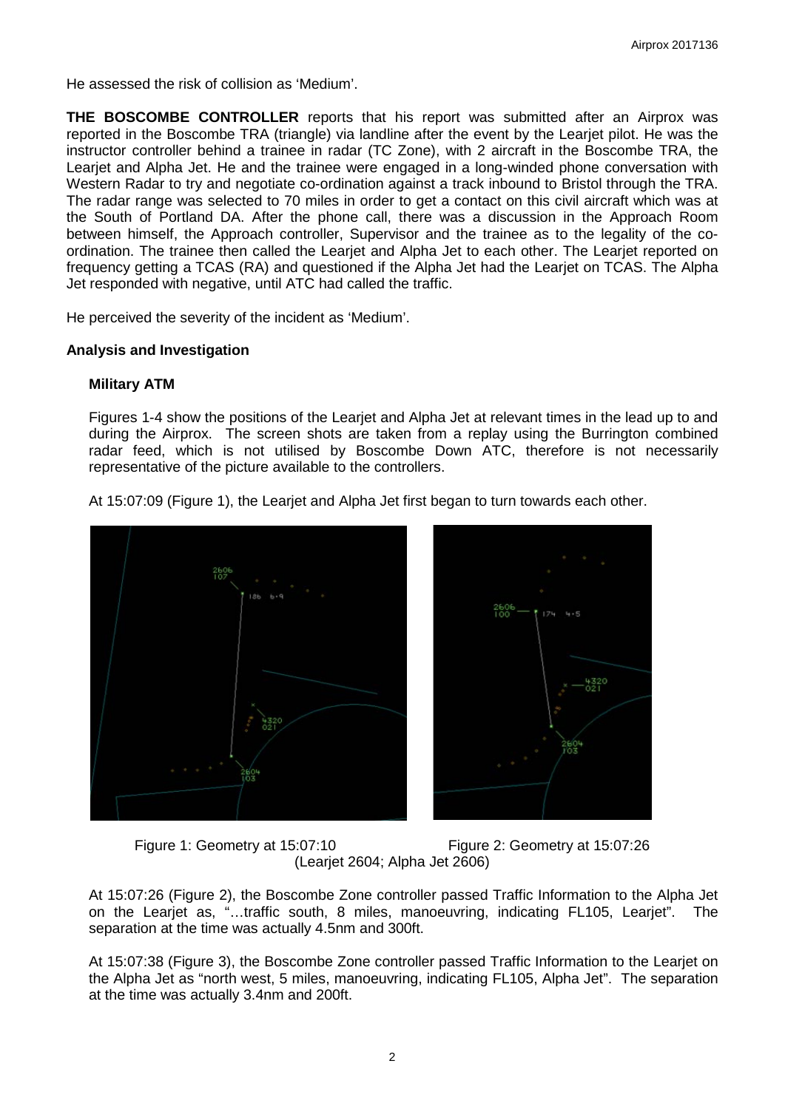He assessed the risk of collision as 'Medium'.

**THE BOSCOMBE CONTROLLER** reports that his report was submitted after an Airprox was reported in the Boscombe TRA (triangle) via landline after the event by the Learjet pilot. He was the instructor controller behind a trainee in radar (TC Zone), with 2 aircraft in the Boscombe TRA, the Learjet and Alpha Jet. He and the trainee were engaged in a long-winded phone conversation with Western Radar to try and negotiate co-ordination against a track inbound to Bristol through the TRA. The radar range was selected to 70 miles in order to get a contact on this civil aircraft which was at the South of Portland DA. After the phone call, there was a discussion in the Approach Room between himself, the Approach controller, Supervisor and the trainee as to the legality of the coordination. The trainee then called the Learjet and Alpha Jet to each other. The Learjet reported on frequency getting a TCAS (RA) and questioned if the Alpha Jet had the Learjet on TCAS. The Alpha Jet responded with negative, until ATC had called the traffic.

He perceived the severity of the incident as 'Medium'.

### **Analysis and Investigation**

### **Military ATM**

Figures 1-4 show the positions of the Learjet and Alpha Jet at relevant times in the lead up to and during the Airprox. The screen shots are taken from a replay using the Burrington combined radar feed, which is not utilised by Boscombe Down ATC, therefore is not necessarily representative of the picture available to the controllers.

At 15:07:09 (Figure 1), the Learjet and Alpha Jet first began to turn towards each other.







At 15:07:26 (Figure 2), the Boscombe Zone controller passed Traffic Information to the Alpha Jet on the Learjet as, "…traffic south, 8 miles, manoeuvring, indicating FL105, Learjet". The separation at the time was actually 4.5nm and 300ft.

At 15:07:38 (Figure 3), the Boscombe Zone controller passed Traffic Information to the Learjet on the Alpha Jet as "north west, 5 miles, manoeuvring, indicating FL105, Alpha Jet". The separation at the time was actually 3.4nm and 200ft.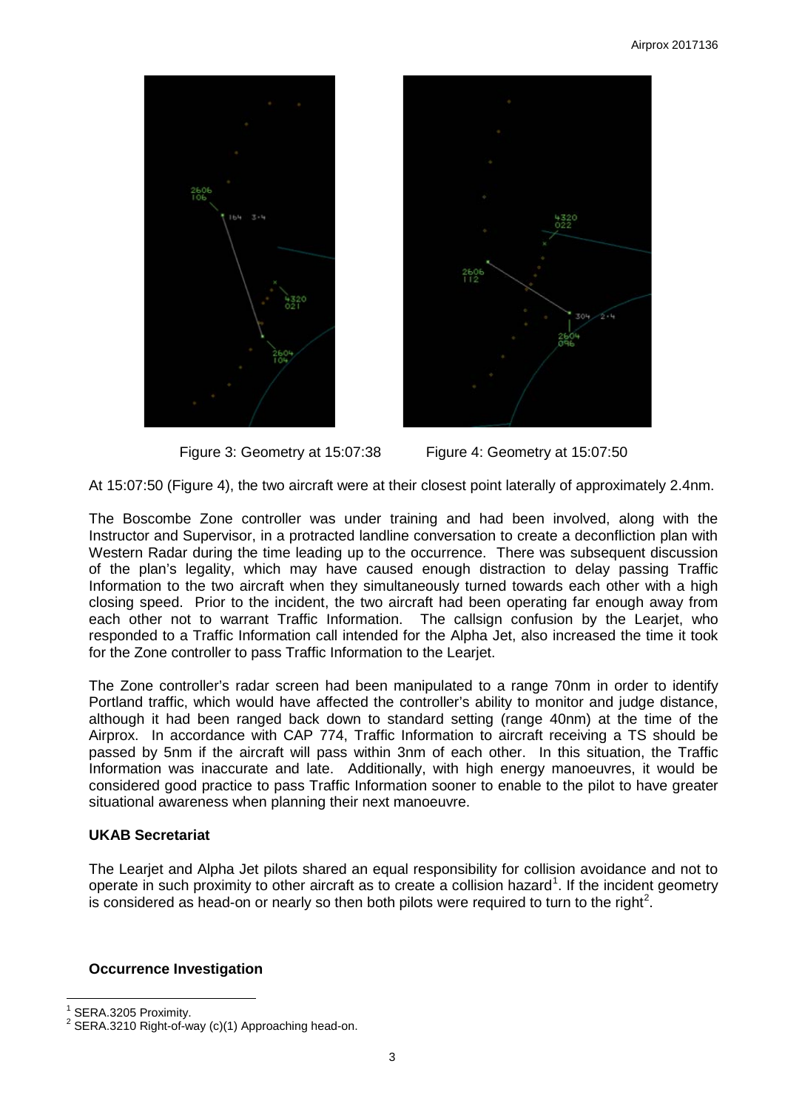



Figure 3: Geometry at 15:07:38 Figure 4: Geometry at 15:07:50

At 15:07:50 (Figure 4), the two aircraft were at their closest point laterally of approximately 2.4nm.

The Boscombe Zone controller was under training and had been involved, along with the Instructor and Supervisor, in a protracted landline conversation to create a deconfliction plan with Western Radar during the time leading up to the occurrence. There was subsequent discussion of the plan's legality, which may have caused enough distraction to delay passing Traffic Information to the two aircraft when they simultaneously turned towards each other with a high closing speed. Prior to the incident, the two aircraft had been operating far enough away from each other not to warrant Traffic Information. The callsign confusion by the Learjet, who responded to a Traffic Information call intended for the Alpha Jet, also increased the time it took for the Zone controller to pass Traffic Information to the Learjet.

The Zone controller's radar screen had been manipulated to a range 70nm in order to identify Portland traffic, which would have affected the controller's ability to monitor and judge distance, although it had been ranged back down to standard setting (range 40nm) at the time of the Airprox. In accordance with CAP 774, Traffic Information to aircraft receiving a TS should be passed by 5nm if the aircraft will pass within 3nm of each other. In this situation, the Traffic Information was inaccurate and late. Additionally, with high energy manoeuvres, it would be considered good practice to pass Traffic Information sooner to enable to the pilot to have greater situational awareness when planning their next manoeuvre.

## **UKAB Secretariat**

The Learjet and Alpha Jet pilots shared an equal responsibility for collision avoidance and not to operate in such proximity to other aircraft as to create a collision hazard<sup>[1](#page-2-0)</sup>. If the incident geometry is considered as head-on or nearly so then both pilots were required to turn to the right<sup>[2](#page-2-1)</sup>.

## **Occurrence Investigation**

<span id="page-2-1"></span><span id="page-2-0"></span>

SERA.3205 Proximity.<br>SERA.3210 Right-of-way (c)(1) Approaching head-on.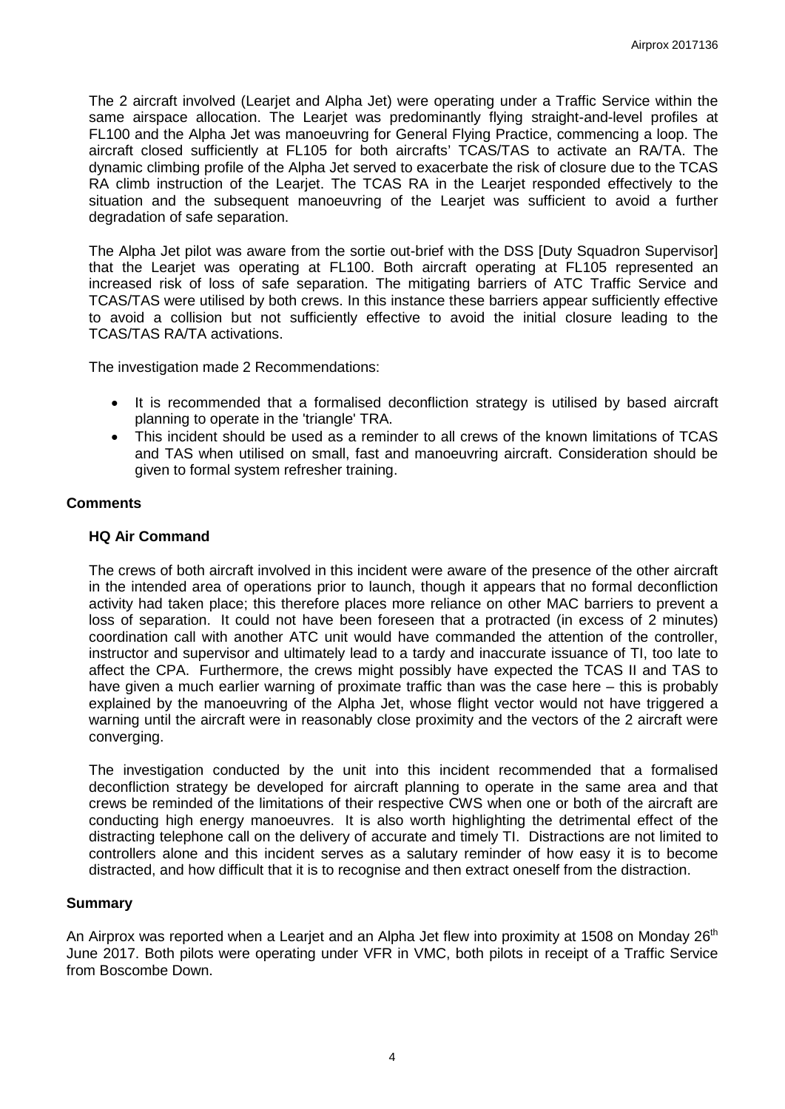The 2 aircraft involved (Learjet and Alpha Jet) were operating under a Traffic Service within the same airspace allocation. The Learjet was predominantly flying straight-and-level profiles at FL100 and the Alpha Jet was manoeuvring for General Flying Practice, commencing a loop. The aircraft closed sufficiently at FL105 for both aircrafts' TCAS/TAS to activate an RA/TA. The dynamic climbing profile of the Alpha Jet served to exacerbate the risk of closure due to the TCAS RA climb instruction of the Learjet. The TCAS RA in the Learjet responded effectively to the situation and the subsequent manoeuvring of the Learjet was sufficient to avoid a further degradation of safe separation.

The Alpha Jet pilot was aware from the sortie out-brief with the DSS [Duty Squadron Supervisor] that the Learjet was operating at FL100. Both aircraft operating at FL105 represented an increased risk of loss of safe separation. The mitigating barriers of ATC Traffic Service and TCAS/TAS were utilised by both crews. In this instance these barriers appear sufficiently effective to avoid a collision but not sufficiently effective to avoid the initial closure leading to the TCAS/TAS RA/TA activations.

The investigation made 2 Recommendations:

- It is recommended that a formalised deconfliction strategy is utilised by based aircraft planning to operate in the 'triangle' TRA.
- This incident should be used as a reminder to all crews of the known limitations of TCAS and TAS when utilised on small, fast and manoeuvring aircraft. Consideration should be given to formal system refresher training.

#### **Comments**

#### **HQ Air Command**

The crews of both aircraft involved in this incident were aware of the presence of the other aircraft in the intended area of operations prior to launch, though it appears that no formal deconfliction activity had taken place; this therefore places more reliance on other MAC barriers to prevent a loss of separation. It could not have been foreseen that a protracted (in excess of 2 minutes) coordination call with another ATC unit would have commanded the attention of the controller, instructor and supervisor and ultimately lead to a tardy and inaccurate issuance of TI, too late to affect the CPA. Furthermore, the crews might possibly have expected the TCAS II and TAS to have given a much earlier warning of proximate traffic than was the case here – this is probably explained by the manoeuvring of the Alpha Jet, whose flight vector would not have triggered a warning until the aircraft were in reasonably close proximity and the vectors of the 2 aircraft were converging.

The investigation conducted by the unit into this incident recommended that a formalised deconfliction strategy be developed for aircraft planning to operate in the same area and that crews be reminded of the limitations of their respective CWS when one or both of the aircraft are conducting high energy manoeuvres. It is also worth highlighting the detrimental effect of the distracting telephone call on the delivery of accurate and timely TI. Distractions are not limited to controllers alone and this incident serves as a salutary reminder of how easy it is to become distracted, and how difficult that it is to recognise and then extract oneself from the distraction.

#### **Summary**

An Airprox was reported when a Learjet and an Alpha Jet flew into proximity at 1508 on Monday 26<sup>th</sup> June 2017. Both pilots were operating under VFR in VMC, both pilots in receipt of a Traffic Service from Boscombe Down.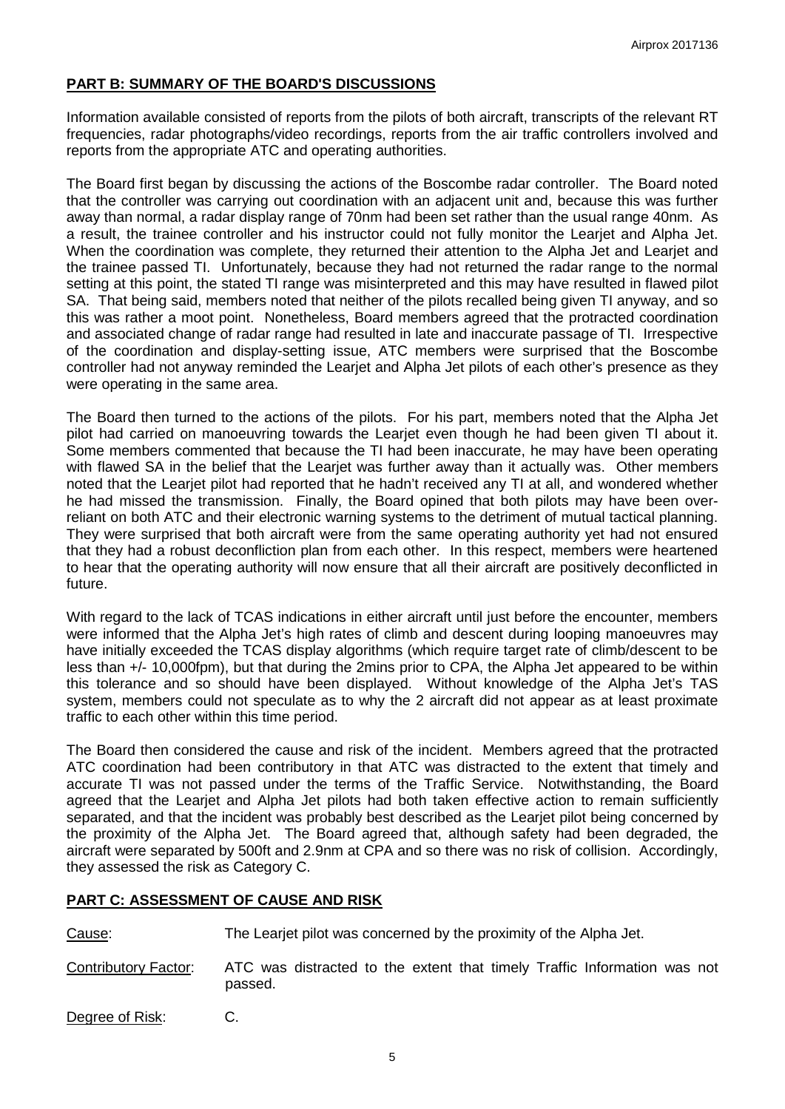# **PART B: SUMMARY OF THE BOARD'S DISCUSSIONS**

Information available consisted of reports from the pilots of both aircraft, transcripts of the relevant RT frequencies, radar photographs/video recordings, reports from the air traffic controllers involved and reports from the appropriate ATC and operating authorities.

The Board first began by discussing the actions of the Boscombe radar controller. The Board noted that the controller was carrying out coordination with an adjacent unit and, because this was further away than normal, a radar display range of 70nm had been set rather than the usual range 40nm. As a result, the trainee controller and his instructor could not fully monitor the Learjet and Alpha Jet. When the coordination was complete, they returned their attention to the Alpha Jet and Learjet and the trainee passed TI. Unfortunately, because they had not returned the radar range to the normal setting at this point, the stated TI range was misinterpreted and this may have resulted in flawed pilot SA. That being said, members noted that neither of the pilots recalled being given TI anyway, and so this was rather a moot point. Nonetheless, Board members agreed that the protracted coordination and associated change of radar range had resulted in late and inaccurate passage of TI. Irrespective of the coordination and display-setting issue, ATC members were surprised that the Boscombe controller had not anyway reminded the Learjet and Alpha Jet pilots of each other's presence as they were operating in the same area.

The Board then turned to the actions of the pilots. For his part, members noted that the Alpha Jet pilot had carried on manoeuvring towards the Learjet even though he had been given TI about it. Some members commented that because the TI had been inaccurate, he may have been operating with flawed SA in the belief that the Learjet was further away than it actually was. Other members noted that the Learjet pilot had reported that he hadn't received any TI at all, and wondered whether he had missed the transmission. Finally, the Board opined that both pilots may have been overreliant on both ATC and their electronic warning systems to the detriment of mutual tactical planning. They were surprised that both aircraft were from the same operating authority yet had not ensured that they had a robust deconfliction plan from each other. In this respect, members were heartened to hear that the operating authority will now ensure that all their aircraft are positively deconflicted in future.

With regard to the lack of TCAS indications in either aircraft until just before the encounter, members were informed that the Alpha Jet's high rates of climb and descent during looping manoeuvres may have initially exceeded the TCAS display algorithms (which require target rate of climb/descent to be less than +/- 10,000fpm), but that during the 2mins prior to CPA, the Alpha Jet appeared to be within this tolerance and so should have been displayed. Without knowledge of the Alpha Jet's TAS system, members could not speculate as to why the 2 aircraft did not appear as at least proximate traffic to each other within this time period.

The Board then considered the cause and risk of the incident. Members agreed that the protracted ATC coordination had been contributory in that ATC was distracted to the extent that timely and accurate TI was not passed under the terms of the Traffic Service. Notwithstanding, the Board agreed that the Learjet and Alpha Jet pilots had both taken effective action to remain sufficiently separated, and that the incident was probably best described as the Learjet pilot being concerned by the proximity of the Alpha Jet. The Board agreed that, although safety had been degraded, the aircraft were separated by 500ft and 2.9nm at CPA and so there was no risk of collision. Accordingly, they assessed the risk as Category C.

## **PART C: ASSESSMENT OF CAUSE AND RISK**

Cause: The Learjet pilot was concerned by the proximity of the Alpha Jet.

Contributory Factor: ATC was distracted to the extent that timely Traffic Information was not passed.

Degree of Risk: C.